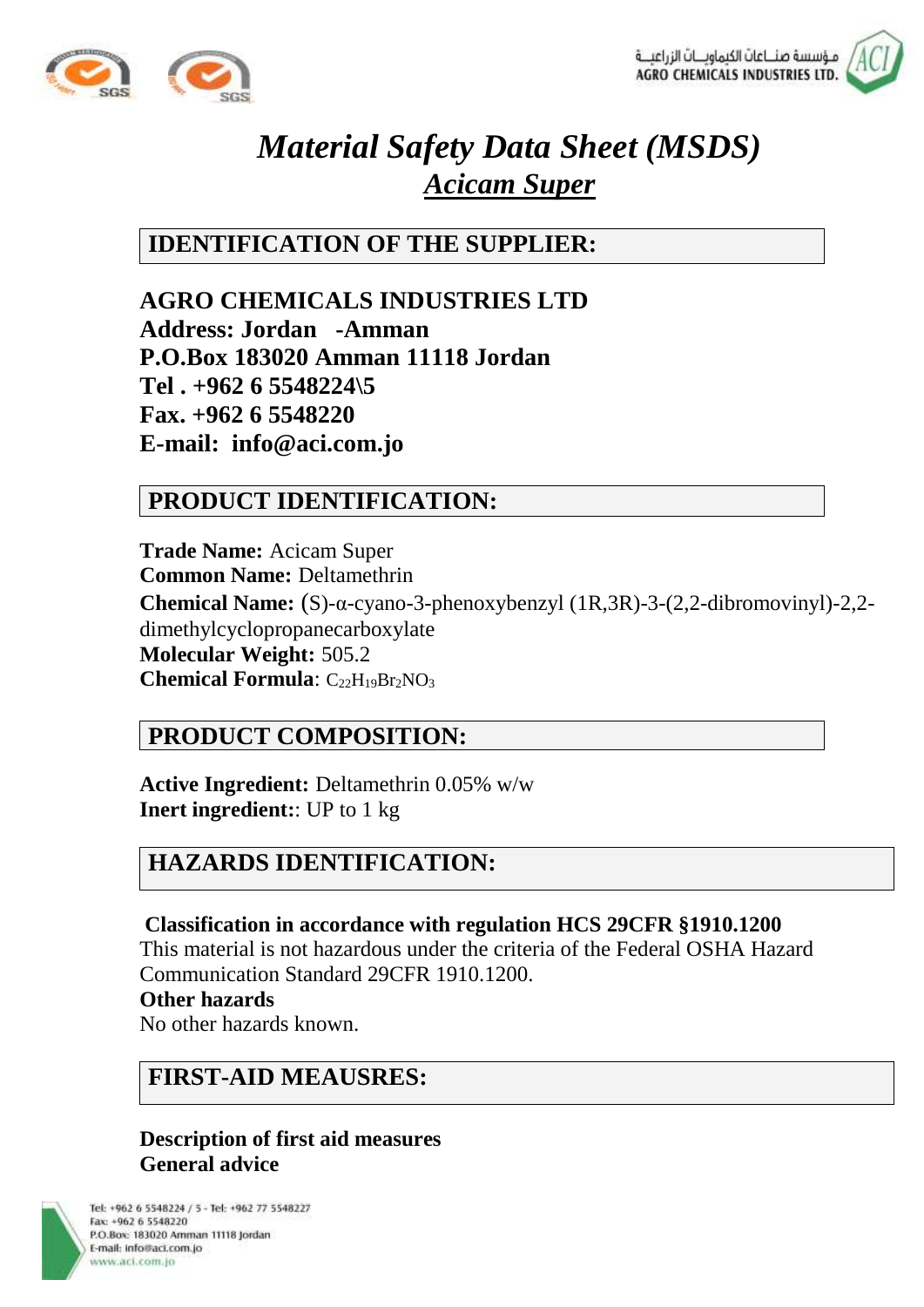



# *Material Safety Data Sheet (MSDS) Acicam Super*

**IDENTIFICATION OF THE SUPPLIER:**

**AGRO CHEMICALS INDUSTRIES LTD Address: Jordan -Amman P.O.Box 183020 Amman 11118 Jordan Tel . +962 6 5548224\5 Fax. +962 6 5548220 E-mail: info@aci.com.jo** 

## **PRODUCT IDENTIFICATION:**

**Trade Name:** Acicam Super **Common Name:** Deltamethrin **Chemical Name:** (S)-α-cyano-3-phenoxybenzyl (1R,3R)-3-(2,2-dibromovinyl)-2,2 dimethylcyclopropanecarboxylate **Molecular Weight:** 505.2 **Chemical Formula**: C<sub>22</sub>H<sub>19</sub>Br<sub>2</sub>NO<sub>3</sub>

## **PRODUCT COMPOSITION:**

**Active Ingredient:** Deltamethrin 0.05% w/w **Inert ingredient:**: UP to 1 kg

## **HAZARDS IDENTIFICATION:**

**Classification in accordance with regulation HCS 29CFR §1910.1200**  This material is not hazardous under the criteria of the Federal OSHA Hazard Communication Standard 29CFR 1910.1200.

#### **Other hazards**

No other hazards known.

## **FIRST-AID MEAUSRES:**

### **Description of first aid measures General advice**

Tel: +962 6 5548224 / 5 - Tel: +962 77 5548227 Fax: +962 6 5548220 P.O.Box: 183020 Amman 11118 Jordan E-mail: info@aci.com.jo www.aci.com.jo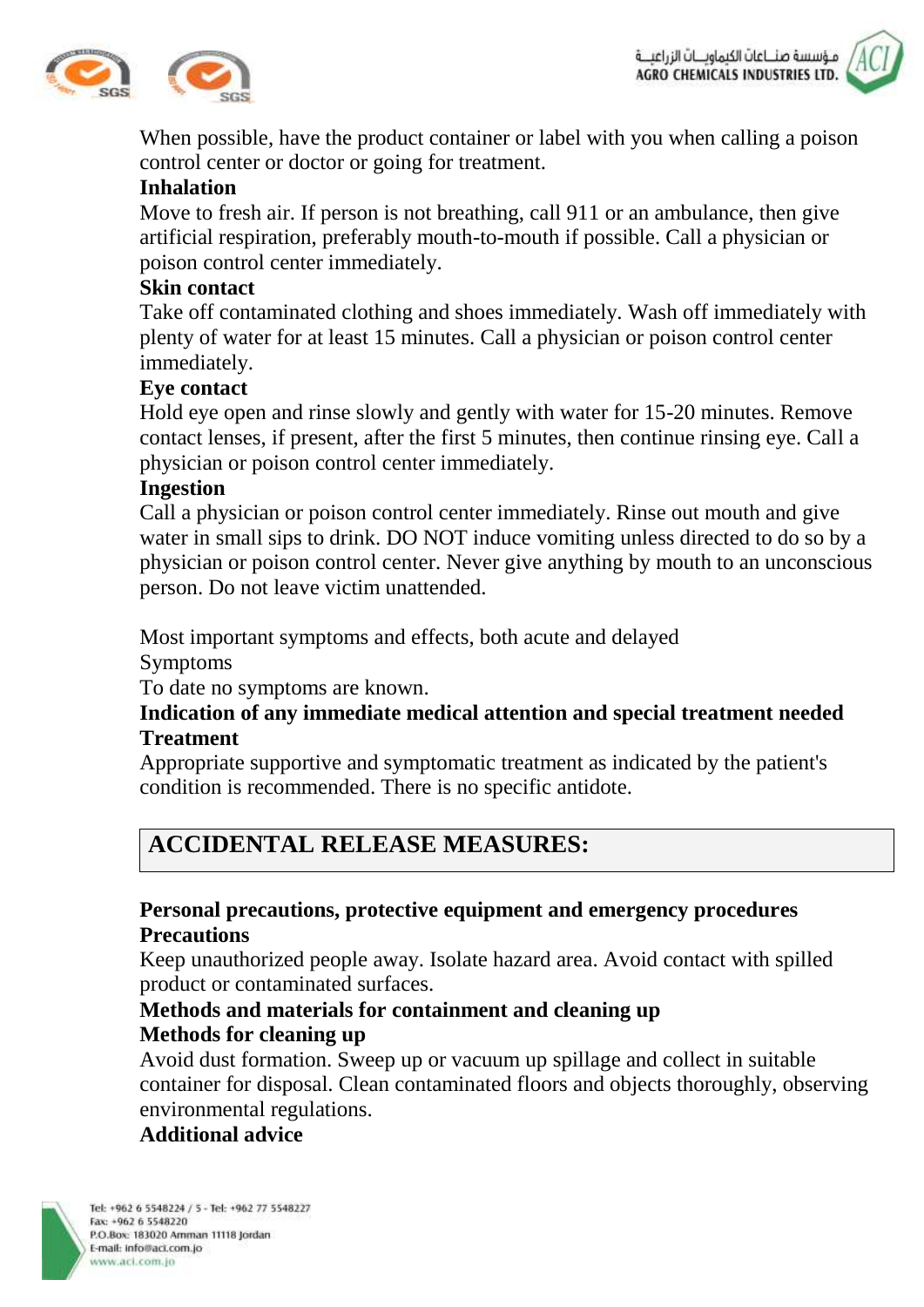



When possible, have the product container or label with you when calling a poison control center or doctor or going for treatment.

### **Inhalation**

Move to fresh air. If person is not breathing, call 911 or an ambulance, then give artificial respiration, preferably mouth-to-mouth if possible. Call a physician or poison control center immediately.

#### **Skin contact**

Take off contaminated clothing and shoes immediately. Wash off immediately with plenty of water for at least 15 minutes. Call a physician or poison control center immediately.

#### **Eye contact**

Hold eye open and rinse slowly and gently with water for 15-20 minutes. Remove contact lenses, if present, after the first 5 minutes, then continue rinsing eye. Call a physician or poison control center immediately.

#### **Ingestion**

Call a physician or poison control center immediately. Rinse out mouth and give water in small sips to drink. DO NOT induce vomiting unless directed to do so by a physician or poison control center. Never give anything by mouth to an unconscious person. Do not leave victim unattended.

Most important symptoms and effects, both acute and delayed

Symptoms

To date no symptoms are known.

#### **Indication of any immediate medical attention and special treatment needed Treatment**

Appropriate supportive and symptomatic treatment as indicated by the patient's condition is recommended. There is no specific antidote.

## **ACCIDENTAL RELEASE MEASURES:**

### **Personal precautions, protective equipment and emergency procedures Precautions**

Keep unauthorized people away. Isolate hazard area. Avoid contact with spilled product or contaminated surfaces.

### **Methods and materials for containment and cleaning up Methods for cleaning up**

Avoid dust formation. Sweep up or vacuum up spillage and collect in suitable container for disposal. Clean contaminated floors and objects thoroughly, observing environmental regulations.

#### **Additional advice**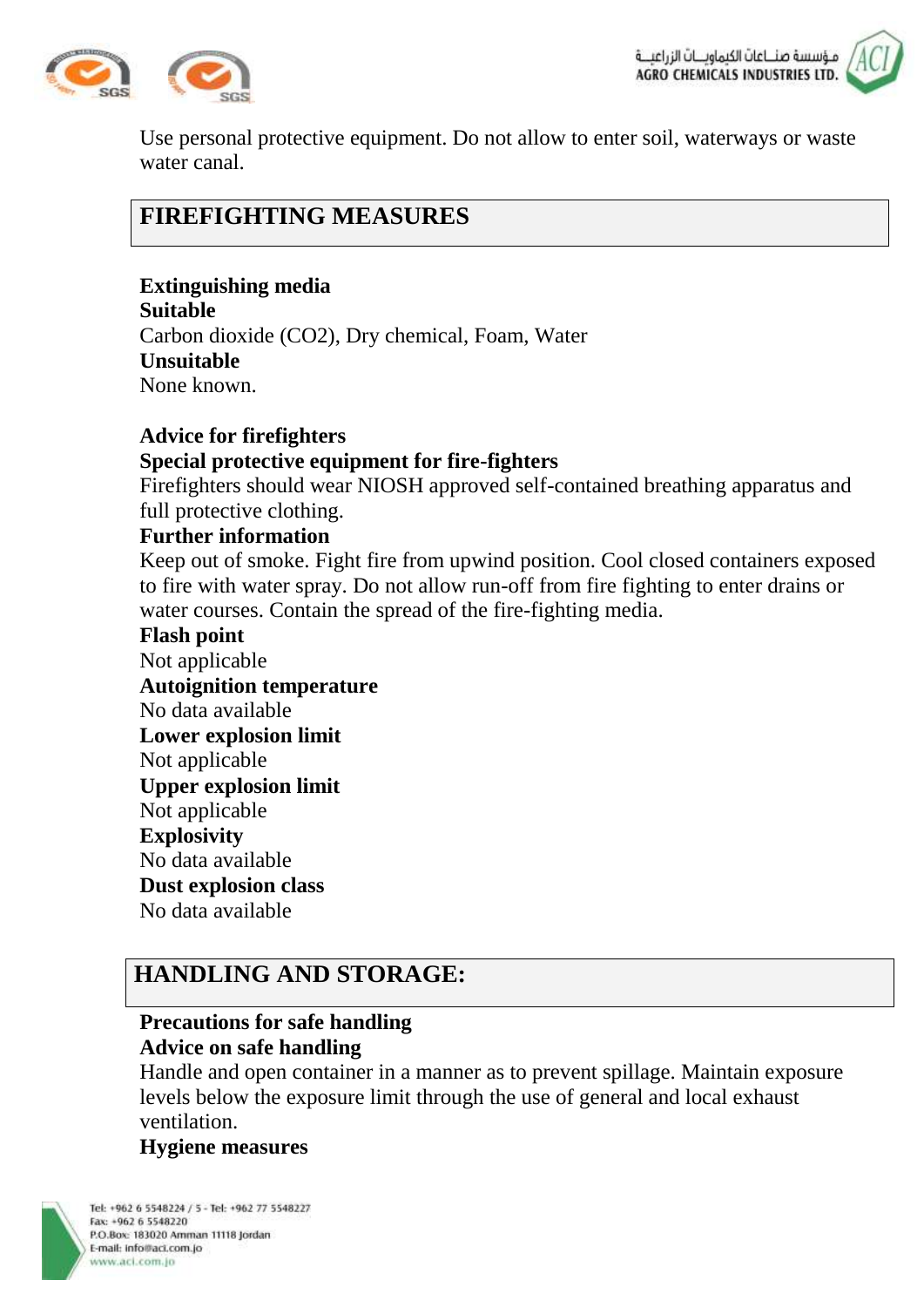



Use personal protective equipment. Do not allow to enter soil, waterways or waste water canal.

## **FIREFIGHTING MEASURES**

**Extinguishing media Suitable** Carbon dioxide (CO2), Dry chemical, Foam, Water **Unsuitable** None known.

#### **Advice for firefighters Special protective equipment for fire-fighters**

Firefighters should wear NIOSH approved self-contained breathing apparatus and full protective clothing.

#### **Further information**

Keep out of smoke. Fight fire from upwind position. Cool closed containers exposed to fire with water spray. Do not allow run-off from fire fighting to enter drains or water courses. Contain the spread of the fire-fighting media.

**Flash point** Not applicable **Autoignition temperature** No data available **Lower explosion limit** Not applicable **Upper explosion limit** Not applicable **Explosivity** No data available **Dust explosion class** No data available

## **HANDLING AND STORAGE:**

## **Precautions for safe handling Advice on safe handling**

Handle and open container in a manner as to prevent spillage. Maintain exposure levels below the exposure limit through the use of general and local exhaust ventilation.

#### **Hygiene measures**



Tel: +962 6 5548224 / 5 - Tel: +962 77 5548227 Fax: +962 6 5548220 P.O.Box: 183020 Amman 11118 Jordan E-mail: info@aci.com.jo www.aci.com.io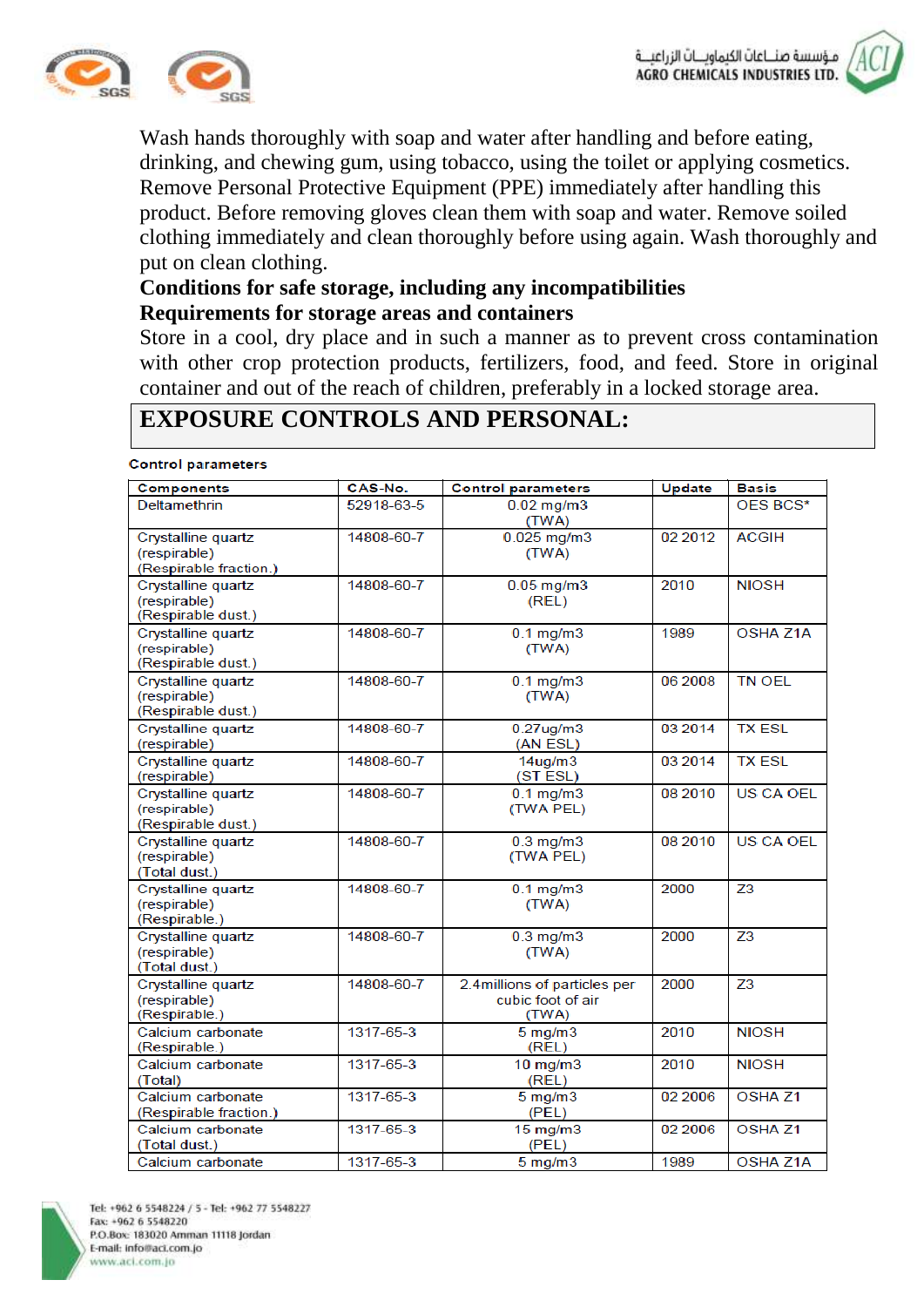



Wash hands thoroughly with soap and water after handling and before eating, drinking, and chewing gum, using tobacco, using the toilet or applying cosmetics. Remove Personal Protective Equipment (PPE) immediately after handling this product. Before removing gloves clean them with soap and water. Remove soiled clothing immediately and clean thoroughly before using again. Wash thoroughly and put on clean clothing.

### **Conditions for safe storage, including any incompatibilities Requirements for storage areas and containers**

Store in a cool, dry place and in such a manner as to prevent cross contamination with other crop protection products, fertilizers, food, and feed. Store in original container and out of the reach of children, preferably in a locked storage area.

## **EXPOSURE CONTROLS AND PERSONAL:**

#### **Control parameters**

| <b>Components</b>                                            | CAS-No.    | <b>Control parameters</b>                                  | Update  | <b>Basis</b>     |
|--------------------------------------------------------------|------------|------------------------------------------------------------|---------|------------------|
| Deltamethrin                                                 | 52918-63-5 | $0.02$ mg/m $3$<br>(TWA)                                   |         | OES BCS*         |
| Crystalline quartz<br>(respirable)<br>(Respirable fraction.) | 14808-60-7 | $0.025$ mg/m $3$<br>(TWA)                                  | 02 2012 | <b>ACGIH</b>     |
| Crystalline quartz<br>(respirable)<br>(Respirable dust.)     | 14808-60-7 | $0.05$ mg/m $3$<br>(REL)                                   | 2010    | <b>NIOSH</b>     |
| Crystalline quartz<br>(respirable)<br>(Respirable dust.)     | 14808-60-7 | $0.1$ mg/m $3$<br>(TWA)                                    | 1989    | <b>OSHA Z1A</b>  |
| Crystalline quartz<br>(respirable)<br>(Respirable dust.)     | 14808-60-7 | $0.1$ mg/m $3$<br>(TWA)                                    | 06 2008 | <b>TN OEL</b>    |
| Crystalline quartz<br>(respirable)                           | 14808-60-7 | $0.27$ ug/m $3$<br>(AN ESL)                                | 03 2014 | <b>TX ESL</b>    |
| Crystalline quartz<br>(respirable)                           | 14808-60-7 | 14 <sub>ug/m3</sub><br>(ST ESL)                            | 03 2014 | <b>TX ESL</b>    |
| Crystalline quartz<br>(respirable)<br>(Respirable dust.)     | 14808-60-7 | $0.1$ mg/m $3$<br>(TWA PEL)                                | 08 2010 | <b>US CA OEL</b> |
| Crystalline quartz<br>(respirable)<br>(Total dust.)          | 14808-60-7 | $0.3$ mg/m $3$<br>(TWA PEL)                                | 08 2010 | <b>US CA OEL</b> |
| Crystalline quartz<br>(respirable)<br>(Respirable.)          | 14808-60-7 | $0.1$ mg/m $3$<br>(TWA)                                    | 2000    | Z <sub>3</sub>   |
| Crystalline quartz<br>(respirable)<br>(Total dust.)          | 14808-60-7 | $0.3$ mg/m $3$<br>(TWA)                                    | 2000    | Z <sub>3</sub>   |
| Crystalline quartz<br>(respirable)<br>(Respirable.)          | 14808-60-7 | 2.4millions of particles per<br>cubic foot of air<br>(TWA) | 2000    | Z <sub>3</sub>   |
| Calcium carbonate<br>(Respirable.)                           | 1317-65-3  | $5 \text{ mg/m}$ 3<br>(REL)                                | 2010    | <b>NIOSH</b>     |
| Calcium carbonate<br>(Total)                                 | 1317-65-3  | $10$ mg/m $3$<br>(REL)                                     | 2010    | <b>NIOSH</b>     |
| Calcium carbonate<br>(Respirable fraction.)                  | 1317-65-3  | $5 \text{ mg/m}$ 3<br>(PEL)                                | 02 2006 | <b>OSHAZ1</b>    |
| Calcium carbonate<br>(Total dust.)                           | 1317-65-3  | $15$ mg/m $3$<br>(PEL)                                     | 02 2006 | <b>OSHAZ1</b>    |
| Calcium carbonate                                            | 1317-65-3  | $5$ mg/m $3$                                               | 1989    | OSHA Z1A         |

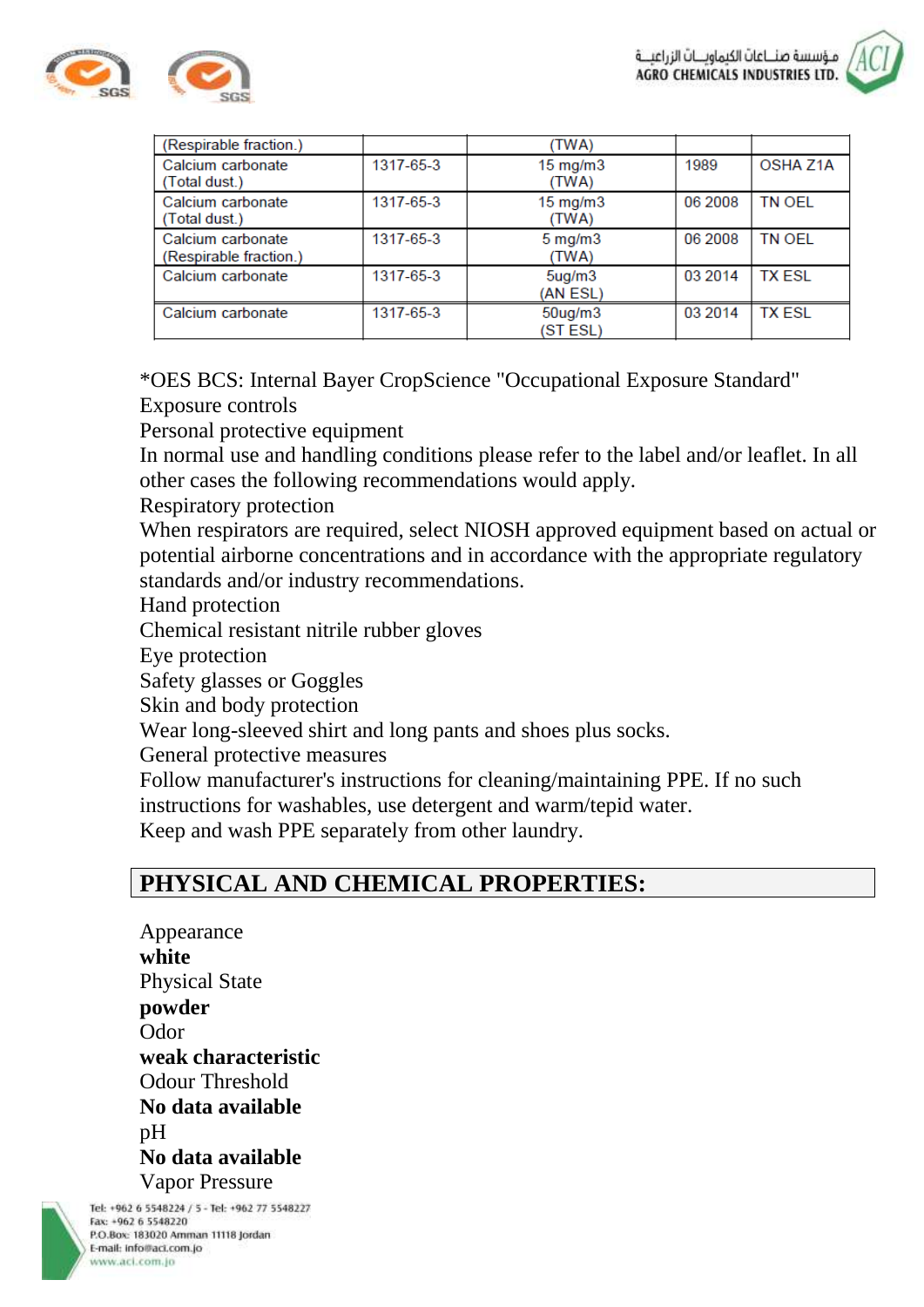

| (Respirable fraction.)                      |           | (TWA)                          |         |                 |
|---------------------------------------------|-----------|--------------------------------|---------|-----------------|
| Calcium carbonate<br>(Total dust.)          | 1317-65-3 | $15 \text{ mg/m}$<br>(TWA)     | 1989    | <b>OSHA Z1A</b> |
| Calcium carbonate<br>(Total dust.)          | 1317-65-3 | $15 \text{ mg/m}$<br>(TWA)     | 06 2008 | <b>TN OEL</b>   |
| Calcium carbonate<br>(Respirable fraction.) | 1317-65-3 | $5 \text{ mg/m}$<br>(TWA)      | 06 2008 | <b>TN OEL</b>   |
| Calcium carbonate                           | 1317-65-3 | 5 <sub>ug/m3</sub><br>(AN ESL) | 03 2014 | <b>TX ESL</b>   |
| Calcium carbonate                           | 1317-65-3 | $50$ ug/m $3$<br>(ST ESL)      | 03 2014 | <b>TX ESL</b>   |

\*OES BCS: Internal Bayer CropScience "Occupational Exposure Standard" Exposure controls

Personal protective equipment

In normal use and handling conditions please refer to the label and/or leaflet. In all other cases the following recommendations would apply.

Respiratory protection

When respirators are required, select NIOSH approved equipment based on actual or potential airborne concentrations and in accordance with the appropriate regulatory standards and/or industry recommendations.

Hand protection

Chemical resistant nitrile rubber gloves

Eye protection

Safety glasses or Goggles

Skin and body protection

Wear long-sleeved shirt and long pants and shoes plus socks.

General protective measures

Follow manufacturer's instructions for cleaning/maintaining PPE. If no such instructions for washables, use detergent and warm/tepid water.

Keep and wash PPE separately from other laundry.

## **PHYSICAL AND CHEMICAL PROPERTIES:**

Appearance **white** Physical State **powder** Odor **weak characteristic** Odour Threshold **No data available**  $pH$ **No data available** Vapor Pressure

Tel: +962 6 5548224 / 5 - Tel: +962 77 5548227 Fax: +962 6 5548220 P.O.Box: 183020 Amman 11118 Jordan E-mail: info@aci.com.jo www.aci.com.io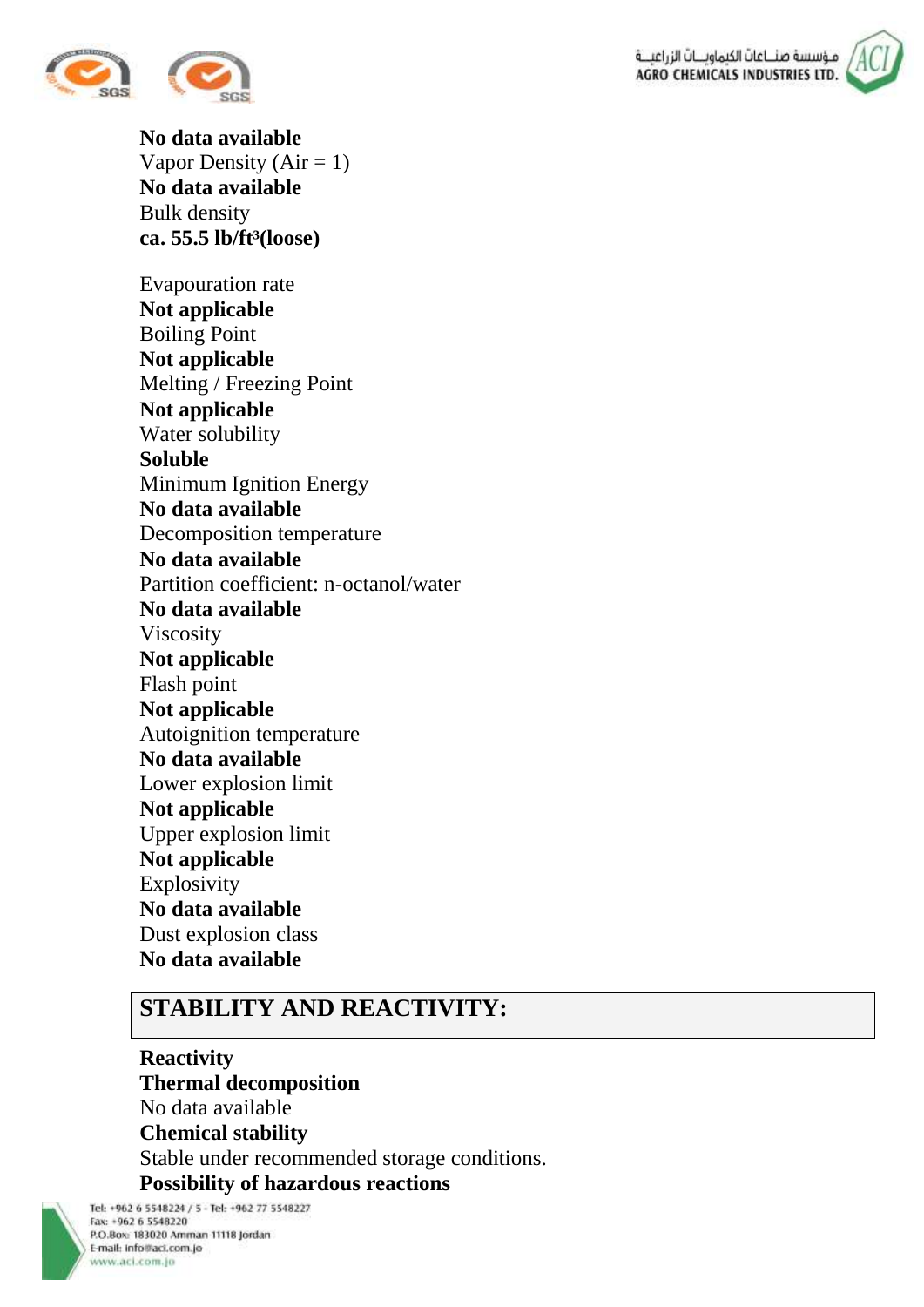



**No data available** Vapor Density ( $Air = 1$ ) **No data available** Bulk density **ca. 55.5 lb/ft³(loose)**

Evapouration rate **Not applicable** Boiling Point **Not applicable** Melting / Freezing Point **Not applicable** Water solubility **Soluble** Minimum Ignition Energy **No data available** Decomposition temperature **No data available** Partition coefficient: n-octanol/water **No data available** Viscosity **Not applicable** Flash point **Not applicable** Autoignition temperature **No data available** Lower explosion limit **Not applicable** Upper explosion limit **Not applicable** Explosivity **No data available** Dust explosion class **No data available**

## **STABILITY AND REACTIVITY:**

**Reactivity Thermal decomposition** No data available **Chemical stability** Stable under recommended storage conditions. **Possibility of hazardous reactions**

Tel: +962 6 5548224 / 5 - Tel: +962 77 5548227 Fax: +962 6 5548220 P.O.Box: 183020 Amman 11118 Jordan E-mail: info@aci.com.jo www.aci.com.jo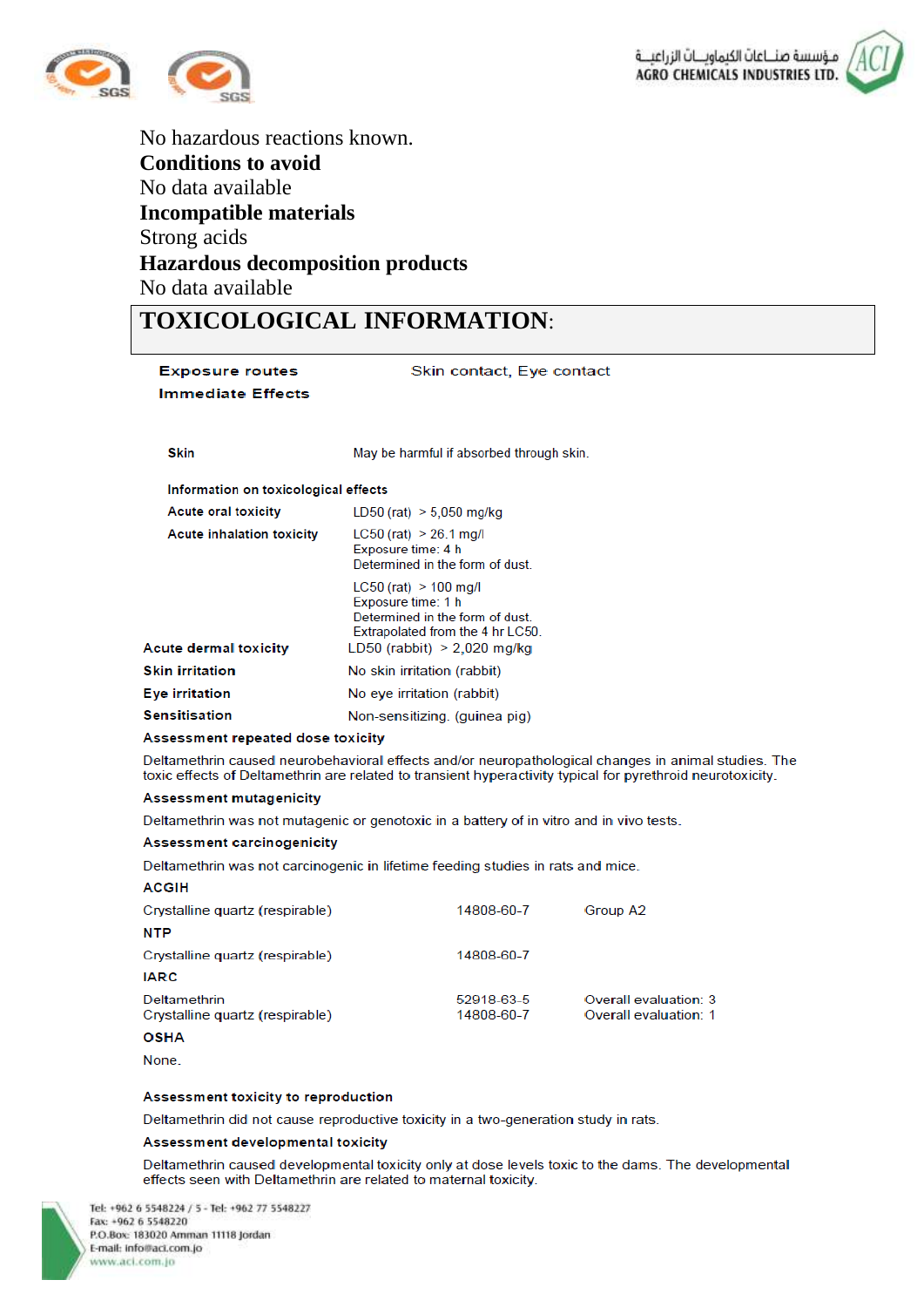

No hazardous reactions known. **Conditions to avoid** No data available **Incompatible materials** Strong acids **Hazardous decomposition products** No data available

## **TOXICOLOGICAL INFORMATION**:

| <b>Exposure routes</b>                        | Skin contact, Eye contact                                                                                                                                                                                         |  |  |  |
|-----------------------------------------------|-------------------------------------------------------------------------------------------------------------------------------------------------------------------------------------------------------------------|--|--|--|
| <b>Immediate Effects</b>                      |                                                                                                                                                                                                                   |  |  |  |
|                                               |                                                                                                                                                                                                                   |  |  |  |
|                                               |                                                                                                                                                                                                                   |  |  |  |
| <b>Skin</b>                                   | May be harmful if absorbed through skin.                                                                                                                                                                          |  |  |  |
| Information on toxicological effects          |                                                                                                                                                                                                                   |  |  |  |
| <b>Acute oral toxicity</b>                    | $LD50$ (rat) $> 5,050$ mg/kg                                                                                                                                                                                      |  |  |  |
| <b>Acute inhalation toxicity</b>              | $LC50$ (rat) > 26.1 mg/l<br>Exposure time: 4 h<br>Determined in the form of dust.                                                                                                                                 |  |  |  |
|                                               | $LC50$ (rat) > 100 mg/l<br>Exposure time: 1 h<br>Determined in the form of dust.<br>Extrapolated from the 4 hr LC50.                                                                                              |  |  |  |
| <b>Acute dermal toxicity</b>                  | LD50 (rabbit) $> 2,020$ mg/kg                                                                                                                                                                                     |  |  |  |
| <b>Skin irritation</b>                        | No skin irritation (rabbit)                                                                                                                                                                                       |  |  |  |
| <b>Eye irritation</b>                         | No eye irritation (rabbit)                                                                                                                                                                                        |  |  |  |
| <b>Sensitisation</b>                          | Non-sensitizing. (quinea pig)                                                                                                                                                                                     |  |  |  |
| Assessment repeated dose toxicity             |                                                                                                                                                                                                                   |  |  |  |
|                                               | Deltamethrin caused neurobehavioral effects and/or neuropathological changes in animal studies. The<br>toxic effects of Deltamethrin are related to transient hyperactivity typical for pyrethroid neurotoxicity. |  |  |  |
| <b>Assessment mutagenicity</b>                |                                                                                                                                                                                                                   |  |  |  |
|                                               | Deltamethrin was not mutagenic or genotoxic in a battery of in vitro and in vivo tests.                                                                                                                           |  |  |  |
| Assessment carcinogenicity                    |                                                                                                                                                                                                                   |  |  |  |
|                                               | Deltamethrin was not carcinogenic in lifetime feeding studies in rats and mice.                                                                                                                                   |  |  |  |
| <b>ACGIH</b>                                  |                                                                                                                                                                                                                   |  |  |  |
| Crystalline quartz (respirable)<br><b>NTP</b> | 14808-60-7<br>Group A2                                                                                                                                                                                            |  |  |  |
| Crystalline quartz (respirable)               | 14808-60-7                                                                                                                                                                                                        |  |  |  |

#### **IARC** 52918-63-5 Deltamethrin Overall evaluation: 3 Crystalline quartz (respirable) 14808-60-7 Overall evaluation: 1

#### **OSHA**

None.

#### Assessment toxicity to reproduction

Deltamethrin did not cause reproductive toxicity in a two-generation study in rats.

#### Assessment developmental toxicity

Deltamethrin caused developmental toxicity only at dose levels toxic to the dams. The developmental effects seen with Deltamethrin are related to maternal toxicity.

Tel: +962 6 5548224 / 5 - Tel: +962 77 5548227 Fax: +962 6 5548220 P.O.Box: 183020 Amman 11118 Jordan E-mail: info@aci.com.jo www.aci.com.jo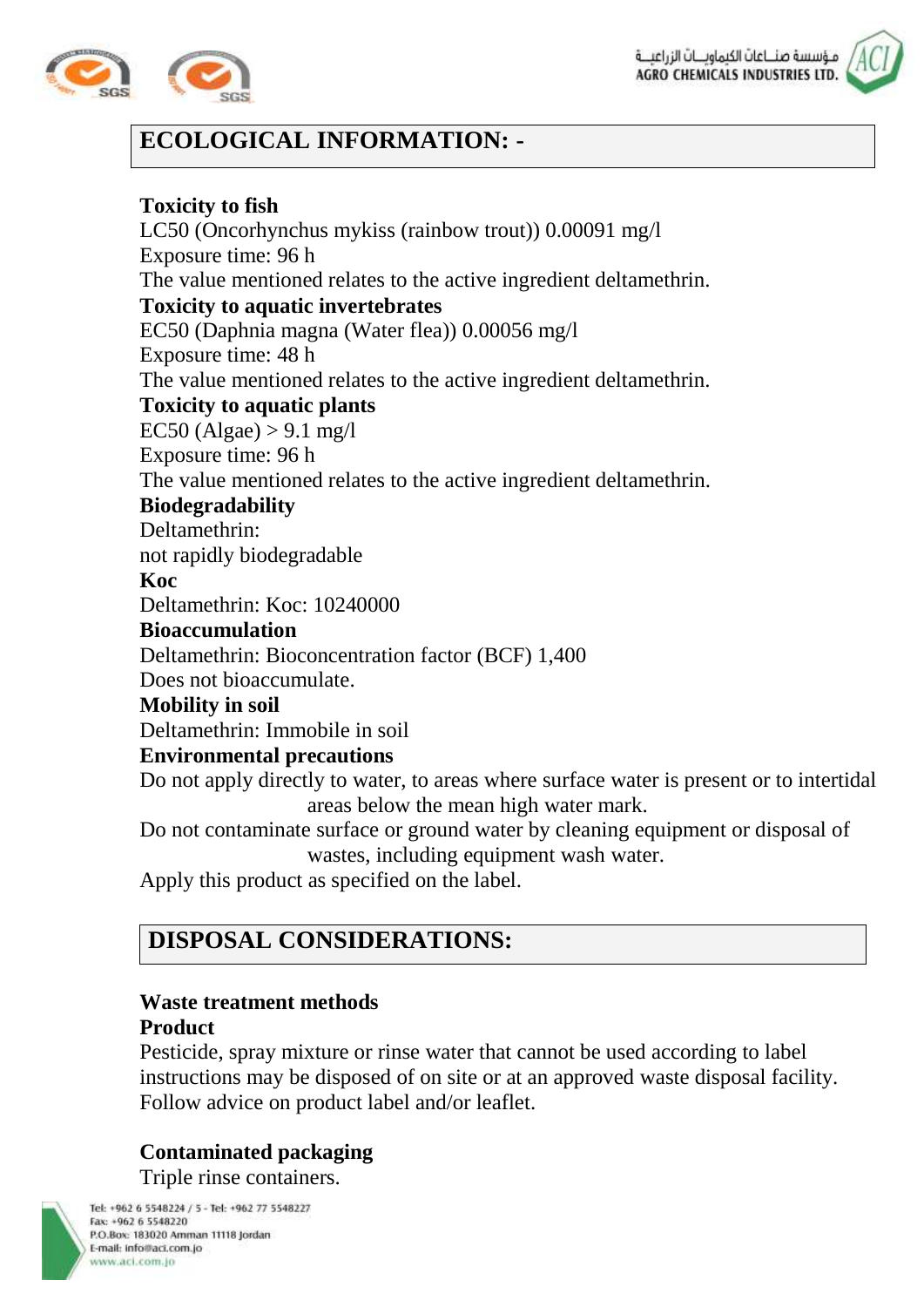



## **ECOLOGICAL INFORMATION: -**

### **Toxicity to fish**

LC50 (Oncorhynchus mykiss (rainbow trout)) 0.00091 mg/l Exposure time: 96 h The value mentioned relates to the active ingredient deltamethrin. **Toxicity to aquatic invertebrates** EC50 (Daphnia magna (Water flea)) 0.00056 mg/l Exposure time: 48 h The value mentioned relates to the active ingredient deltamethrin. **Toxicity to aquatic plants**  $EC50 (Algae) > 9.1 mg/l$ Exposure time: 96 h The value mentioned relates to the active ingredient deltamethrin. **Biodegradability** Deltamethrin: not rapidly biodegradable **Koc** Deltamethrin: Koc: 10240000 **Bioaccumulation** Deltamethrin: Bioconcentration factor (BCF) 1,400 Does not bioaccumulate. **Mobility in soil** Deltamethrin: Immobile in soil **Environmental precautions** Do not apply directly to water, to areas where surface water is present or to intertidal areas below the mean high water mark.

Do not contaminate surface or ground water by cleaning equipment or disposal of wastes, including equipment wash water.

Apply this product as specified on the label.

## **DISPOSAL CONSIDERATIONS:**

## **Waste treatment methods**

#### **Product**

Pesticide, spray mixture or rinse water that cannot be used according to label instructions may be disposed of on site or at an approved waste disposal facility. Follow advice on product label and/or leaflet.

### **Contaminated packaging**

Triple rinse containers.